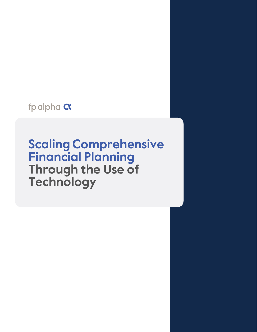fpalpha **a** 

# **Scaling Comprehensive Financial Planning Through the Use of Technology**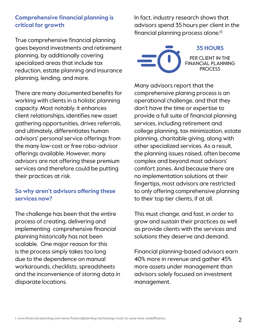#### **Comprehensive financial planning is critical for growth**

True comprehensive financial planning goes beyond investments and retirement planning, by additionally covering specialized areas that include tax reduction, estate planning and insurance planning, lending, and more.

There are many documented benefits for working with clients in a holistic planning capacity. Most notably, it enhances client relationships, identifies new asset gathering opportunities, drives referrals, and ultimately, differentiates human advisors' personal service offerings from the many low-cost or free robo-advisor offerings available. However, many advisors are not offering these premium services and therefore could be putting their practices at risk.

#### **So why aren't advisors offering these services now?**

The challenge has been that the entire process of creating, delivering and implementing comprehensive financial planning historically has not been scalable. One major reason for this is the process simply takes too long due to the dependence on manual workarounds, checklists, spreadsheets and the inconvenience of storing data in disparate locations.

In fact, industry research shows that advisors spend 35 hours per client in the financial planning process alone.<sup>(1)</sup>

#### **35 HOURS**

PER CLIENT IN THE FINANCIAL PLANNING PROCESS

Many advisors report that the comprehensive planing process is an operational challenge, and that they don't have the time or expertise to provide a full suite of financial planning services, including retirement and college planning, tax minimization, estate planning, charitable giving, along with other specialized services. As a result, the planning issues raised, often become complex and beyond most advisors' comfort zones. And because there are no implementation solutions at their fingertips, most advisors are restricted to only offering comprehensive planning to their top tier clients, if at all.

This must change, and fast, in order to grow and sustain their practices as well as provide clients with the services and solutions they deserve and demand.

Financial planning-based advisors earn 40% more in revenue and gather 45% more assets under management than advisors solely focused on investment management.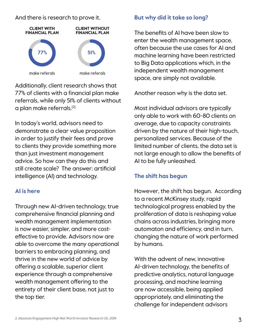And there is research to prove it.



Additionally, client research shows that 77% of clients with a financial plan make referrals, while only 51% of clients without a plan make referrals.(2)

In today's world, advisors need to demonstrate a clear value proposition in order to justify their fees and prove to clients they provide something more than just investment management advice. So how can they do this and still create scale? The answer: artificial intelligence (AI) and technology.

#### **AI is here**

Through new AI-driven technology, true comprehensive financial planning and wealth management implementation is now easier, simpler, and more costeffective to provide. Advisors now are able to overcome the many operational barriers to embracing planning, and thrive in the new world of advice by offering a scalable, superior client experience through a comprehensive wealth management offering to the entirety of their client base, not just to the top tier.

#### **But why did it take so long?**

The benefits of AI have been slow to enter the wealth management space, often because the use cases for AI and machine learning have been restricted to Big Data applications which, in the independent wealth management space, are simply not available.

Another reason why is the data set.

Most individual advisors are typically only able to work with 60-80 clients on average, due to capacity constraints driven by the nature of their high-touch, personalized services. Because of the limited number of clients, the data set is not large enough to allow the benefits of AI to be fully unleashed.

### **The shift has begun**

However, the shift has begun. According to a recent McKinsey study, rapid technological progress enabled by the proliferation of data is reshaping value chains across industries, bringing more automaton and efficiency, and in turn, changing the nature of work performed by humans.

With the advent of new, innovative AI-driven technology, the benefits of predictive analytics, natural language processing, and machine learning are now accessible, being applied appropriately, and eliminating the challenge for independent advisors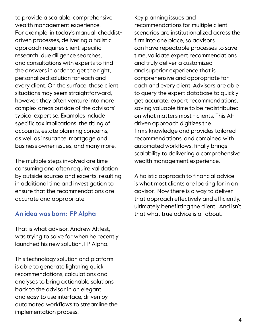to provide a scalable, comprehensive wealth management experience. For example, in today's manual, checklistdriven processes, delivering a holistic approach requires client-specific research, due diligence searches, and consultations with experts to find the answers in order to get the right, personalized solution for each and every client. On the surface, these client situations may seem straightforward, however, they often venture into more complex areas outside of the advisors' typical expertise. Examples include specific tax implications, the titling of accounts, estate planning concerns, as well as insurance, mortgage and business owner issues, and many more.

The multiple steps involved are timeconsuming and often require validation by outside sources and experts, resulting in additional time and investigation to ensure that the recommendations are accurate and appropriate.

#### **An idea was born: FP Alpha**

That is what advisor, Andrew Altfest, was trying to solve for when he recently launched his new solution, FP Alpha.

This technology solution and platform is able to generate lightning quick recommendations, calculations and analyses to bring actionable solutions back to the advisor in an elegant and easy to use interface, driven by automated workflows to streamline the implementation process.

Key planning issues and recommendations for multiple client scenarios are institutionalized across the firm into one place, so advisors can have repeatable processes to save time, validate expert recommendations and truly deliver a customized and superior experience that is comprehensive and appropriate for each and every client. Advisors are able to query the expert database to quickly get accurate, expert recommendations, saving valuable time to be redistributed on what matters most - clients. This AIdriven approach digitizes the firm's knowledge and provides tailored recommendations; and combined with automated workflows, finally brings scalability to delivering a comprehensive wealth management experience.

A holistic approach to financial advice is what most clients are looking for in an advisor. Now there is a way to deliver that approach effectively and efficiently, ultimately benefitting the client. And isn't that what true advice is all about.